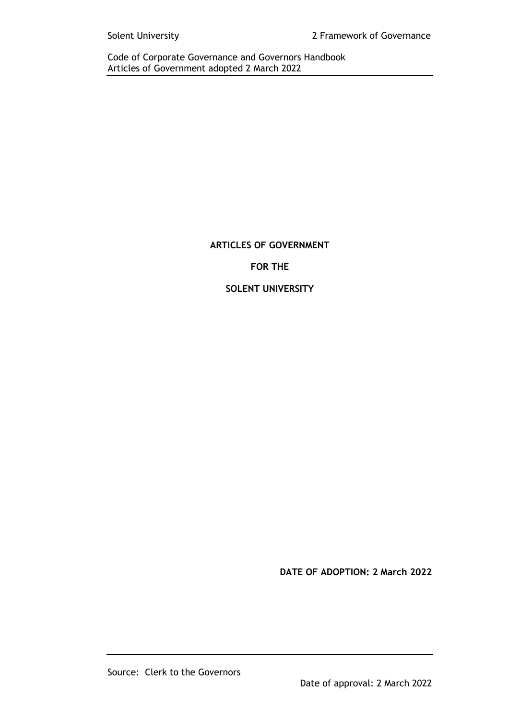# **ARTICLES OF GOVERNMENT FOR THE SOLENT UNIVERSITY**

**DATE OF ADOPTION: 2 March 2022**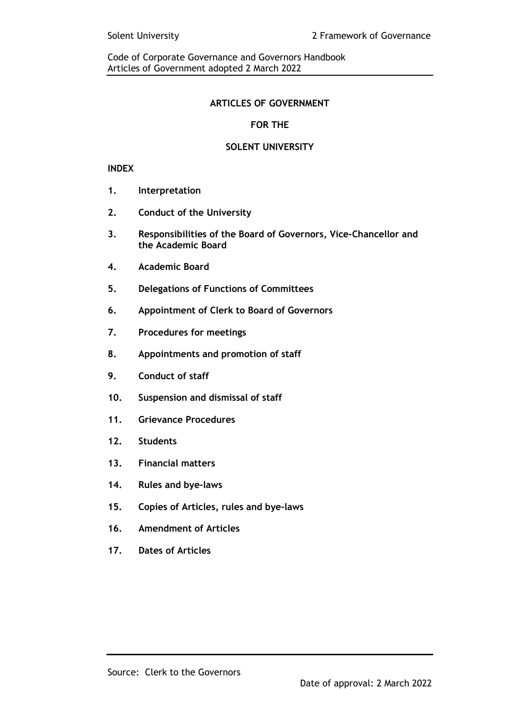## **ARTICLES OF GOVERNMENT**

# **FOR THE**

## **SOLENT UNIVERSITY**

## **INDEX**

- **1. Interpretation**
- **2. Conduct of the University**
- **3. Responsibilities of the Board of Governors, Vice-Chancellor and the Academic Board**
- **4. Academic Board**
- **5. Delegations of Functions of Committees**
- **6. Appointment of Clerk to Board of Governors**
- **7. Procedures for meetings**
- **8. Appointments and promotion of staff**
- **9. Conduct of staff**
- **10. Suspension and dismissal of staff**
- **11. Grievance Procedures**
- **12. Students**
- **13. Financial matters**
- **14. Rules and bye-laws**
- **15. Copies of Articles, rules and bye-laws**
- **16. Amendment of Articles**
- **17. Dates of Articles**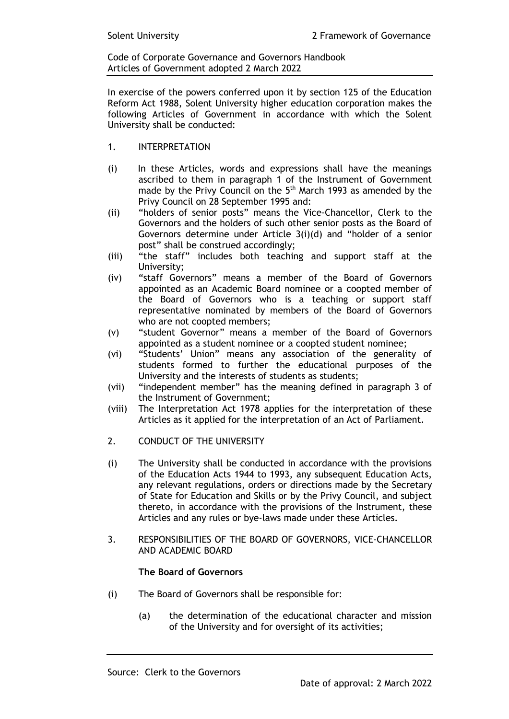In exercise of the powers conferred upon it by section 125 of the Education Reform Act 1988, Solent University higher education corporation makes the following Articles of Government in accordance with which the Solent University shall be conducted:

- 1. INTERPRETATION
- (i) In these Articles, words and expressions shall have the meanings ascribed to them in paragraph 1 of the Instrument of Government made by the Privy Council on the 5<sup>th</sup> March 1993 as amended by the Privy Council on 28 September 1995 and:
- (ii) "holders of senior posts" means the Vice-Chancellor, Clerk to the Governors and the holders of such other senior posts as the Board of Governors determine under Article 3(i)(d) and "holder of a senior post" shall be construed accordingly;
- (iii) "the staff" includes both teaching and support staff at the University;
- (iv) "staff Governors" means a member of the Board of Governors appointed as an Academic Board nominee or a coopted member of the Board of Governors who is a teaching or support staff representative nominated by members of the Board of Governors who are not coopted members;
- (v) "student Governor" means a member of the Board of Governors appointed as a student nominee or a coopted student nominee;
- (vi) "Students' Union" means any association of the generality of students formed to further the educational purposes of the University and the interests of students as students;
- (vii) "independent member" has the meaning defined in paragraph 3 of the Instrument of Government;
- (viii) The Interpretation Act 1978 applies for the interpretation of these Articles as it applied for the interpretation of an Act of Parliament.
- 2. CONDUCT OF THE UNIVERSITY
- (i) The University shall be conducted in accordance with the provisions of the Education Acts 1944 to 1993, any subsequent Education Acts, any relevant regulations, orders or directions made by the Secretary of State for Education and Skills or by the Privy Council, and subject thereto, in accordance with the provisions of the Instrument, these Articles and any rules or bye-laws made under these Articles.
- 3. RESPONSIBILITIES OF THE BOARD OF GOVERNORS, VICE-CHANCELLOR AND ACADEMIC BOARD

#### **The Board of Governors**

- (i) The Board of Governors shall be responsible for:
	- (a) the determination of the educational character and mission of the University and for oversight of its activities;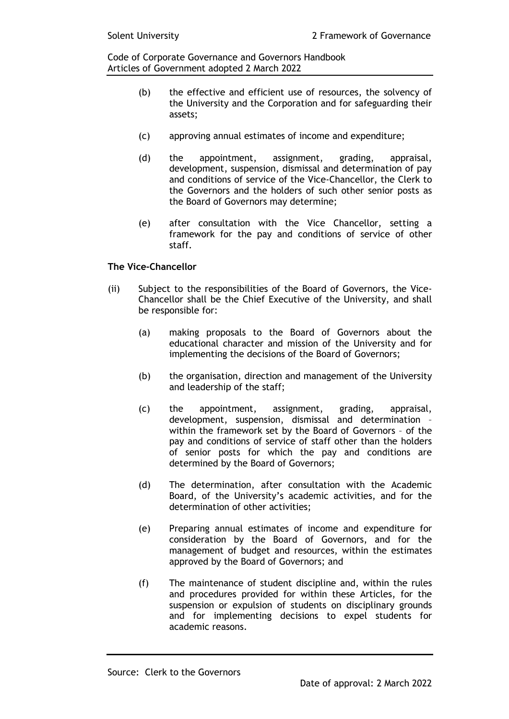- (b) the effective and efficient use of resources, the solvency of the University and the Corporation and for safeguarding their assets;
- (c) approving annual estimates of income and expenditure;
- (d) the appointment, assignment, grading, appraisal, development, suspension, dismissal and determination of pay and conditions of service of the Vice-Chancellor, the Clerk to the Governors and the holders of such other senior posts as the Board of Governors may determine;
- (e) after consultation with the Vice Chancellor, setting a framework for the pay and conditions of service of other staff.

## **The Vice-Chancellor**

- (ii) Subject to the responsibilities of the Board of Governors, the Vice-Chancellor shall be the Chief Executive of the University, and shall be responsible for:
	- (a) making proposals to the Board of Governors about the educational character and mission of the University and for implementing the decisions of the Board of Governors;
	- (b) the organisation, direction and management of the University and leadership of the staff;
	- (c) the appointment, assignment, grading, appraisal, development, suspension, dismissal and determination – within the framework set by the Board of Governors – of the pay and conditions of service of staff other than the holders of senior posts for which the pay and conditions are determined by the Board of Governors;
	- (d) The determination, after consultation with the Academic Board, of the University's academic activities, and for the determination of other activities;
	- (e) Preparing annual estimates of income and expenditure for consideration by the Board of Governors, and for the management of budget and resources, within the estimates approved by the Board of Governors; and
	- (f) The maintenance of student discipline and, within the rules and procedures provided for within these Articles, for the suspension or expulsion of students on disciplinary grounds and for implementing decisions to expel students for academic reasons.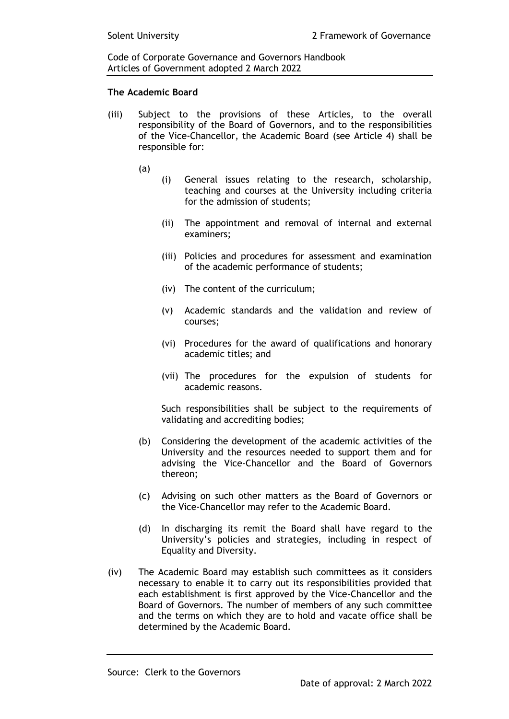#### **The Academic Board**

- (iii) Subject to the provisions of these Articles, to the overall responsibility of the Board of Governors, and to the responsibilities of the Vice-Chancellor, the Academic Board (see Article 4) shall be responsible for:
	- (a)
- (i) General issues relating to the research, scholarship, teaching and courses at the University including criteria for the admission of students;
- (ii) The appointment and removal of internal and external examiners;
- (iii) Policies and procedures for assessment and examination of the academic performance of students;
- (iv) The content of the curriculum;
- (v) Academic standards and the validation and review of courses;
- (vi) Procedures for the award of qualifications and honorary academic titles; and
- (vii) The procedures for the expulsion of students for academic reasons.

Such responsibilities shall be subject to the requirements of validating and accrediting bodies;

- (b) Considering the development of the academic activities of the University and the resources needed to support them and for advising the Vice-Chancellor and the Board of Governors thereon;
- (c) Advising on such other matters as the Board of Governors or the Vice-Chancellor may refer to the Academic Board.
- (d) In discharging its remit the Board shall have regard to the University's policies and strategies, including in respect of Equality and Diversity.
- (iv) The Academic Board may establish such committees as it considers necessary to enable it to carry out its responsibilities provided that each establishment is first approved by the Vice-Chancellor and the Board of Governors. The number of members of any such committee and the terms on which they are to hold and vacate office shall be determined by the Academic Board.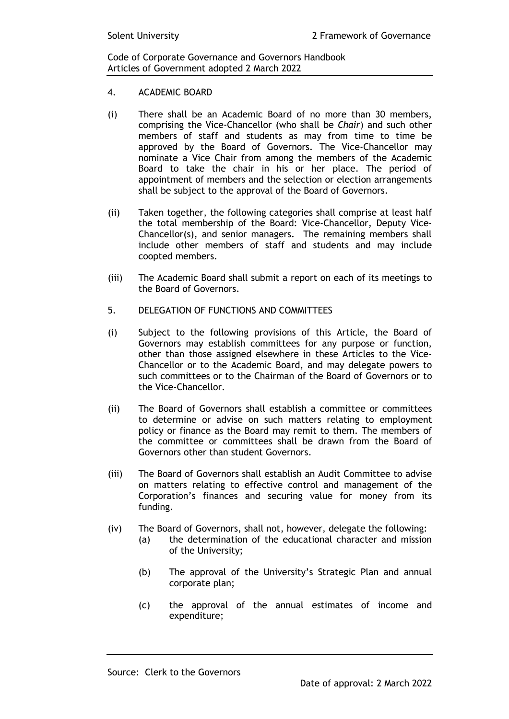- 4. ACADEMIC BOARD
- (i) There shall be an Academic Board of no more than 30 members, comprising the Vice-Chancellor (who shall be *Chair*) and such other members of staff and students as may from time to time be approved by the Board of Governors. The Vice-Chancellor may nominate a Vice Chair from among the members of the Academic Board to take the chair in his or her place. The period of appointment of members and the selection or election arrangements shall be subject to the approval of the Board of Governors.
- (ii) Taken together, the following categories shall comprise at least half the total membership of the Board: Vice-Chancellor, Deputy Vice-Chancellor(s), and senior managers. The remaining members shall include other members of staff and students and may include coopted members.
- (iii) The Academic Board shall submit a report on each of its meetings to the Board of Governors.
- 5. DELEGATION OF FUNCTIONS AND COMMITTEES
- (i) Subject to the following provisions of this Article, the Board of Governors may establish committees for any purpose or function, other than those assigned elsewhere in these Articles to the Vice-Chancellor or to the Academic Board, and may delegate powers to such committees or to the Chairman of the Board of Governors or to the Vice-Chancellor.
- (ii) The Board of Governors shall establish a committee or committees to determine or advise on such matters relating to employment policy or finance as the Board may remit to them. The members of the committee or committees shall be drawn from the Board of Governors other than student Governors.
- (iii) The Board of Governors shall establish an Audit Committee to advise on matters relating to effective control and management of the Corporation's finances and securing value for money from its funding.
- (iv) The Board of Governors, shall not, however, delegate the following:
	- (a) the determination of the educational character and mission of the University;
	- (b) The approval of the University's Strategic Plan and annual corporate plan;
	- (c) the approval of the annual estimates of income and expenditure;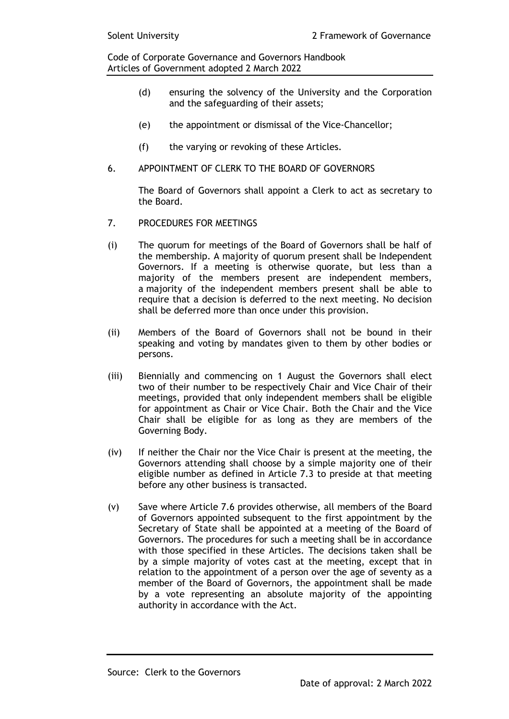- (d) ensuring the solvency of the University and the Corporation and the safeguarding of their assets;
- (e) the appointment or dismissal of the Vice-Chancellor;
- (f) the varying or revoking of these Articles.
- 6. APPOINTMENT OF CLERK TO THE BOARD OF GOVERNORS

The Board of Governors shall appoint a Clerk to act as secretary to the Board.

- 7. PROCEDURES FOR MEETINGS
- (i) The quorum for meetings of the Board of Governors shall be half of the membership. A majority of quorum present shall be Independent Governors. If a meeting is otherwise quorate, but less than a majority of the members present are independent members, a majority of the independent members present shall be able to require that a decision is deferred to the next meeting. No decision shall be deferred more than once under this provision.
- (ii) Members of the Board of Governors shall not be bound in their speaking and voting by mandates given to them by other bodies or persons.
- (iii) Biennially and commencing on 1 August the Governors shall elect two of their number to be respectively Chair and Vice Chair of their meetings, provided that only independent members shall be eligible for appointment as Chair or Vice Chair. Both the Chair and the Vice Chair shall be eligible for as long as they are members of the Governing Body.
- (iv) If neither the Chair nor the Vice Chair is present at the meeting, the Governors attending shall choose by a simple majority one of their eligible number as defined in Article 7.3 to preside at that meeting before any other business is transacted.
- (v) Save where Article 7.6 provides otherwise, all members of the Board of Governors appointed subsequent to the first appointment by the Secretary of State shall be appointed at a meeting of the Board of Governors. The procedures for such a meeting shall be in accordance with those specified in these Articles. The decisions taken shall be by a simple majority of votes cast at the meeting, except that in relation to the appointment of a person over the age of seventy as a member of the Board of Governors, the appointment shall be made by a vote representing an absolute majority of the appointing authority in accordance with the Act.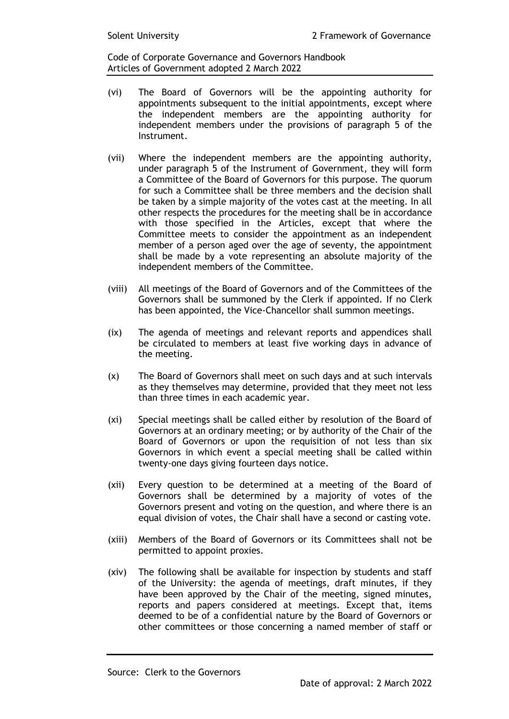- (vi) The Board of Governors will be the appointing authority for appointments subsequent to the initial appointments, except where the independent members are the appointing authority for independent members under the provisions of paragraph 5 of the Instrument.
- (vii) Where the independent members are the appointing authority, under paragraph 5 of the Instrument of Government, they will form a Committee of the Board of Governors for this purpose. The quorum for such a Committee shall be three members and the decision shall be taken by a simple majority of the votes cast at the meeting. In all other respects the procedures for the meeting shall be in accordance with those specified in the Articles, except that where the Committee meets to consider the appointment as an independent member of a person aged over the age of seventy, the appointment shall be made by a vote representing an absolute majority of the independent members of the Committee.
- (viii) All meetings of the Board of Governors and of the Committees of the Governors shall be summoned by the Clerk if appointed. If no Clerk has been appointed, the Vice-Chancellor shall summon meetings.
- (ix) The agenda of meetings and relevant reports and appendices shall be circulated to members at least five working days in advance of the meeting.
- (x) The Board of Governors shall meet on such days and at such intervals as they themselves may determine, provided that they meet not less than three times in each academic year.
- (xi) Special meetings shall be called either by resolution of the Board of Governors at an ordinary meeting; or by authority of the Chair of the Board of Governors or upon the requisition of not less than six Governors in which event a special meeting shall be called within twenty-one days giving fourteen days notice.
- (xii) Every question to be determined at a meeting of the Board of Governors shall be determined by a majority of votes of the Governors present and voting on the question, and where there is an equal division of votes, the Chair shall have a second or casting vote.
- (xiii) Members of the Board of Governors or its Committees shall not be permitted to appoint proxies.
- (xiv) The following shall be available for inspection by students and staff of the University: the agenda of meetings, draft minutes, if they have been approved by the Chair of the meeting, signed minutes, reports and papers considered at meetings. Except that, items deemed to be of a confidential nature by the Board of Governors or other committees or those concerning a named member of staff or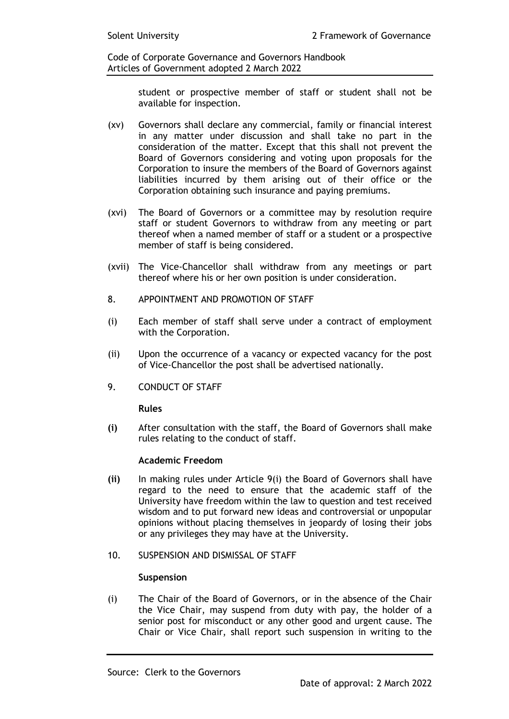> student or prospective member of staff or student shall not be available for inspection.

- (xv) Governors shall declare any commercial, family or financial interest in any matter under discussion and shall take no part in the consideration of the matter. Except that this shall not prevent the Board of Governors considering and voting upon proposals for the Corporation to insure the members of the Board of Governors against liabilities incurred by them arising out of their office or the Corporation obtaining such insurance and paying premiums.
- (xvi) The Board of Governors or a committee may by resolution require staff or student Governors to withdraw from any meeting or part thereof when a named member of staff or a student or a prospective member of staff is being considered.
- (xvii) The Vice-Chancellor shall withdraw from any meetings or part thereof where his or her own position is under consideration.
- 8. APPOINTMENT AND PROMOTION OF STAFF
- (i) Each member of staff shall serve under a contract of employment with the Corporation.
- (ii) Upon the occurrence of a vacancy or expected vacancy for the post of Vice-Chancellor the post shall be advertised nationally.
- 9. CONDUCT OF STAFF

#### **Rules**

**(i)** After consultation with the staff, the Board of Governors shall make rules relating to the conduct of staff.

#### **Academic Freedom**

- **(ii)** In making rules under Article 9(i) the Board of Governors shall have regard to the need to ensure that the academic staff of the University have freedom within the law to question and test received wisdom and to put forward new ideas and controversial or unpopular opinions without placing themselves in jeopardy of losing their jobs or any privileges they may have at the University.
- 10. SUSPENSION AND DISMISSAL OF STAFF

#### **Suspension**

(i) The Chair of the Board of Governors, or in the absence of the Chair the Vice Chair, may suspend from duty with pay, the holder of a senior post for misconduct or any other good and urgent cause. The Chair or Vice Chair, shall report such suspension in writing to the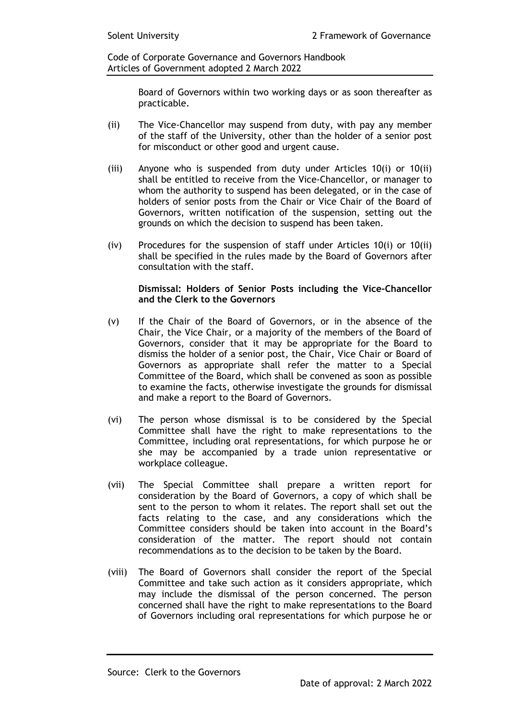> Board of Governors within two working days or as soon thereafter as practicable.

- (ii) The Vice-Chancellor may suspend from duty, with pay any member of the staff of the University, other than the holder of a senior post for misconduct or other good and urgent cause.
- (iii) Anyone who is suspended from duty under Articles 10(i) or 10(ii) shall be entitled to receive from the Vice-Chancellor, or manager to whom the authority to suspend has been delegated, or in the case of holders of senior posts from the Chair or Vice Chair of the Board of Governors, written notification of the suspension, setting out the grounds on which the decision to suspend has been taken.
- (iv) Procedures for the suspension of staff under Articles 10(i) or 10(ii) shall be specified in the rules made by the Board of Governors after consultation with the staff.

#### **Dismissal: Holders of Senior Posts including the Vice-Chancellor and the Clerk to the Governors**

- (v) If the Chair of the Board of Governors, or in the absence of the Chair, the Vice Chair, or a majority of the members of the Board of Governors, consider that it may be appropriate for the Board to dismiss the holder of a senior post, the Chair, Vice Chair or Board of Governors as appropriate shall refer the matter to a Special Committee of the Board, which shall be convened as soon as possible to examine the facts, otherwise investigate the grounds for dismissal and make a report to the Board of Governors.
- (vi) The person whose dismissal is to be considered by the Special Committee shall have the right to make representations to the Committee, including oral representations, for which purpose he or she may be accompanied by a trade union representative or workplace colleague.
- (vii) The Special Committee shall prepare a written report for consideration by the Board of Governors, a copy of which shall be sent to the person to whom it relates. The report shall set out the facts relating to the case, and any considerations which the Committee considers should be taken into account in the Board's consideration of the matter. The report should not contain recommendations as to the decision to be taken by the Board.
- (viii) The Board of Governors shall consider the report of the Special Committee and take such action as it considers appropriate, which may include the dismissal of the person concerned. The person concerned shall have the right to make representations to the Board of Governors including oral representations for which purpose he or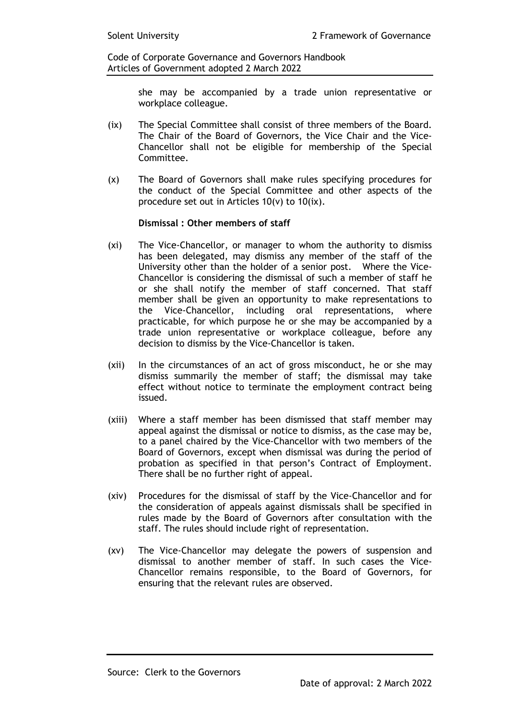> she may be accompanied by a trade union representative or workplace colleague.

- (ix) The Special Committee shall consist of three members of the Board. The Chair of the Board of Governors, the Vice Chair and the Vice-Chancellor shall not be eligible for membership of the Special Committee.
- (x) The Board of Governors shall make rules specifying procedures for the conduct of the Special Committee and other aspects of the procedure set out in Articles 10(v) to 10(ix).

#### **Dismissal : Other members of staff**

- (xi) The Vice-Chancellor, or manager to whom the authority to dismiss has been delegated, may dismiss any member of the staff of the University other than the holder of a senior post. Where the Vice-Chancellor is considering the dismissal of such a member of staff he or she shall notify the member of staff concerned. That staff member shall be given an opportunity to make representations to the Vice-Chancellor, including oral representations, where practicable, for which purpose he or she may be accompanied by a trade union representative or workplace colleague, before any decision to dismiss by the Vice-Chancellor is taken.
- (xii) In the circumstances of an act of gross misconduct, he or she may dismiss summarily the member of staff; the dismissal may take effect without notice to terminate the employment contract being issued.
- (xiii) Where a staff member has been dismissed that staff member may appeal against the dismissal or notice to dismiss, as the case may be, to a panel chaired by the Vice-Chancellor with two members of the Board of Governors, except when dismissal was during the period of probation as specified in that person's Contract of Employment. There shall be no further right of appeal.
- (xiv) Procedures for the dismissal of staff by the Vice-Chancellor and for the consideration of appeals against dismissals shall be specified in rules made by the Board of Governors after consultation with the staff. The rules should include right of representation.
- (xv) The Vice-Chancellor may delegate the powers of suspension and dismissal to another member of staff. In such cases the Vice-Chancellor remains responsible, to the Board of Governors, for ensuring that the relevant rules are observed.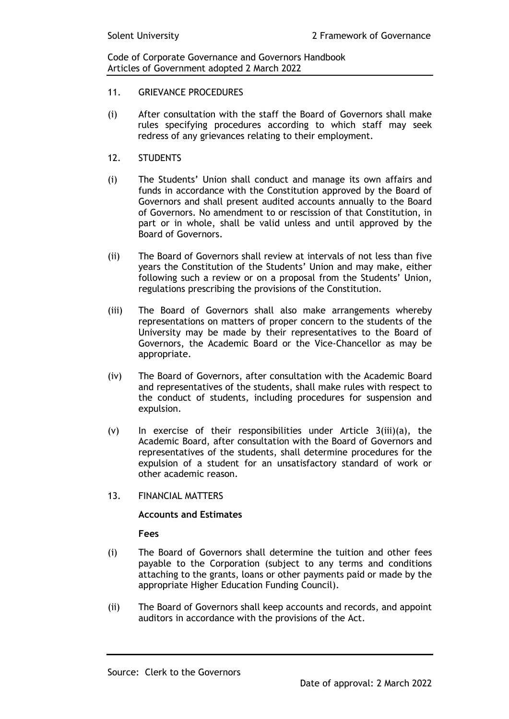- 11 **GRIEVANCE PROCEDURES**
- (i) After consultation with the staff the Board of Governors shall make rules specifying procedures according to which staff may seek redress of any grievances relating to their employment.
- 12. STUDENTS
- (i) The Students' Union shall conduct and manage its own affairs and funds in accordance with the Constitution approved by the Board of Governors and shall present audited accounts annually to the Board of Governors. No amendment to or rescission of that Constitution, in part or in whole, shall be valid unless and until approved by the Board of Governors.
- (ii) The Board of Governors shall review at intervals of not less than five years the Constitution of the Students' Union and may make, either following such a review or on a proposal from the Students' Union, regulations prescribing the provisions of the Constitution.
- (iii) The Board of Governors shall also make arrangements whereby representations on matters of proper concern to the students of the University may be made by their representatives to the Board of Governors, the Academic Board or the Vice-Chancellor as may be appropriate.
- (iv) The Board of Governors, after consultation with the Academic Board and representatives of the students, shall make rules with respect to the conduct of students, including procedures for suspension and expulsion.
- $(v)$  In exercise of their responsibilities under Article 3(iii)(a), the Academic Board, after consultation with the Board of Governors and representatives of the students, shall determine procedures for the expulsion of a student for an unsatisfactory standard of work or other academic reason.
- 13. FINANCIAL MATTERS

#### **Accounts and Estimates**

#### **Fees**

- (i) The Board of Governors shall determine the tuition and other fees payable to the Corporation (subject to any terms and conditions attaching to the grants, loans or other payments paid or made by the appropriate Higher Education Funding Council).
- (ii) The Board of Governors shall keep accounts and records, and appoint auditors in accordance with the provisions of the Act.